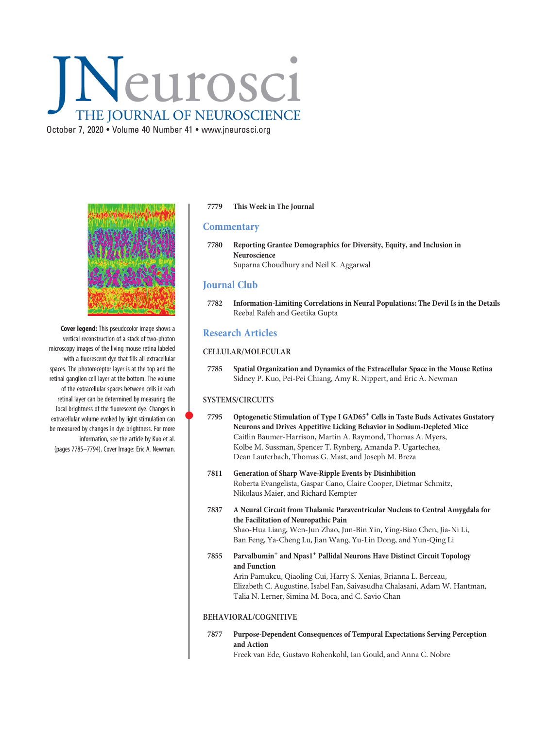# Neurosci THE JOURNAL OF NEUROSCIENCE

October 7, 2020 • Volume 40 Number 41 • www.jneurosci.org



Cover legend: This pseudocolor image shows a vertical reconstruction of a stack of two-photon microscopy images of the living mouse retina labeled with a fluorescent dye that fills all extracellular spaces. The photoreceptor layer is at the top and the retinal ganglion cell layer at the bottom. The volume of the extracellular spaces between cells in each retinal layer can be determined by measuring the local brightness of the fluorescent dye. Changes in extracellular volume evoked by light stimulation can be measured by changes in dye brightness. For more information, see the article by Kuo et al. (pages 7785–7794). Cover Image: Eric A. Newman.

#### 7779 This Week in The Journal

## **Commentary**

7780 Reporting Grantee Demographics for Diversity, Equity, and Inclusion in Neuroscience Suparna Choudhury and Neil K. Aggarwal

# Journal Club

7782 Information-Limiting Correlations in Neural Populations: The Devil Is in the Details Reebal Rafeh and Geetika Gupta

# Research Articles

## CELLULAR/MOLECULAR

7785 Spatial Organization and Dynamics of the Extracellular Space in the Mouse Retina Sidney P. Kuo, Pei-Pei Chiang, Amy R. Nippert, and Eric A. Newman

### SYSTEMS/CIRCUITS

- 7795 Optogenetic Stimulation of Type I GAD65<sup>+</sup> Cells in Taste Buds Activates Gustatory Neurons and Drives Appetitive Licking Behavior in Sodium-Depleted Mice Caitlin Baumer-Harrison, Martin A. Raymond, Thomas A. Myers, Kolbe M. Sussman, Spencer T. Rynberg, Amanda P. Ugartechea, Dean Lauterbach, Thomas G. Mast, and Joseph M. Breza
- 7811 Generation of Sharp Wave-Ripple Events by Disinhibition Roberta Evangelista, Gaspar Cano, Claire Cooper, Dietmar Schmitz, Nikolaus Maier, and Richard Kempter
- 7837 A Neural Circuit from Thalamic Paraventricular Nucleus to Central Amygdala for the Facilitation of Neuropathic Pain Shao-Hua Liang, Wen-Jun Zhao, Jun-Bin Yin, Ying-Biao Chen, Jia-Ni Li, Ban Feng, Ya-Cheng Lu, Jian Wang, Yu-Lin Dong, and Yun-Qing Li
- 7855 Parvalbumin+ and Npas1+ Pallidal Neurons Have Distinct Circuit Topology and Function Arin Pamukcu, Qiaoling Cui, Harry S. Xenias, Brianna L. Berceau, Elizabeth C. Augustine, Isabel Fan, Saivasudha Chalasani, Adam W. Hantman, Talia N. Lerner, Simina M. Boca, and C. Savio Chan

### BEHAVIORAL/COGNITIVE

7877 Purpose-Dependent Consequences of Temporal Expectations Serving Perception and Action

Freek van Ede, Gustavo Rohenkohl, Ian Gould, and Anna C. Nobre